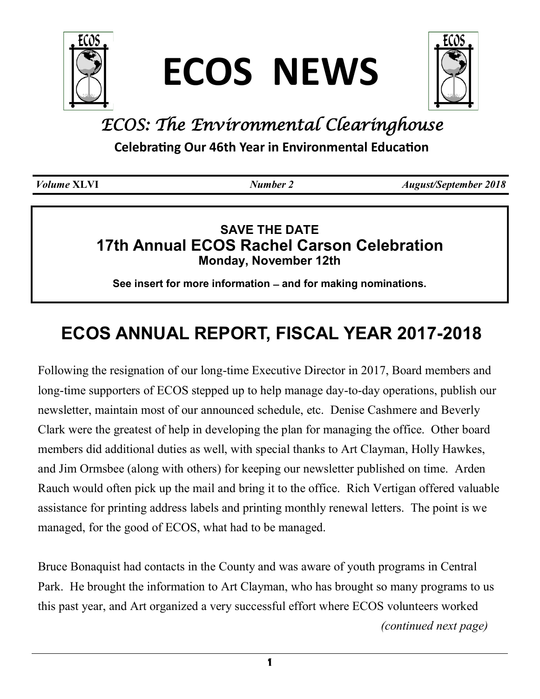

**ECOS NEWS**



# *ECOS: The Environmental Clearinghouse*

**Celebrating Our 46th Year in Environmental Education**

*Volume* **XLVI** *Number 2 August/September 2018*

# **SAVE THE DATE 17th Annual ECOS Rachel Carson Celebration Monday, November 12th**

**See insert for more information ̶ and for making nominations.**

# **ECOS ANNUAL REPORT, FISCAL YEAR 2017-2018**

Following the resignation of our long-time Executive Director in 2017, Board members and long-time supporters of ECOS stepped up to help manage day-to-day operations, publish our newsletter, maintain most of our announced schedule, etc. Denise Cashmere and Beverly Clark were the greatest of help in developing the plan for managing the office. Other board members did additional duties as well, with special thanks to Art Clayman, Holly Hawkes, and Jim Ormsbee (along with others) for keeping our newsletter published on time. Arden Rauch would often pick up the mail and bring it to the office. Rich Vertigan offered valuable assistance for printing address labels and printing monthly renewal letters. The point is we managed, for the good of ECOS, what had to be managed.

Bruce Bonaquist had contacts in the County and was aware of youth programs in Central Park. He brought the information to Art Clayman, who has brought so many programs to us this past year, and Art organized a very successful effort where ECOS volunteers worked *(continued next page)*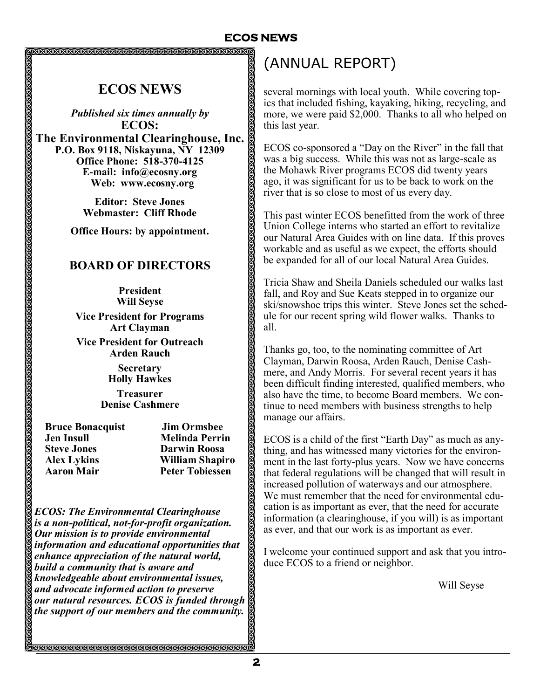**ECOS NEWS**

*Published six times annually by* **ECOS: The Environmental Clearinghouse, Inc. P.O. Box 9118, Niskayuna, NY 12309 Office Phone: 518-370-4125 E-mail: info@ecosny.org Web: www.ecosny.org** 

> **Editor: Steve Jones Webmaster: Cliff Rhode**

**Office Hours: by appointment.**

### **BOARD OF DIRECTORS**

**President Will Seyse Vice President for Programs Art Clayman**

**Vice President for Outreach Arden Rauch**

> **Secretary Holly Hawkes**

**Treasurer Denise Cashmere**

 **Bruce Bonacquist Jim Ormsbee Jen Insull Melinda Perrin Steve Jones Darwin Roosa Aaron Mair Peter Tobiessen**

 **Alex Lykins William Shapiro**

*ECOS: The Environmental Clearinghouse is a non-political, not-for-profit organization. Our mission is to provide environmental information and educational opportunities that enhance appreciation of the natural world, build a community that is aware and knowledgeable about environmental issues, and advocate informed action to preserve our natural resources. ECOS is funded through the support of our members and the community.*

<u>MARAMARANARANARANARANARANARANARAN</u>

# (ANNUAL REPORT)

several mornings with local youth. While covering topics that included fishing, kayaking, hiking, recycling, and more, we were paid \$2,000. Thanks to all who helped on this last year.

ECOS co-sponsored a "Day on the River" in the fall that was a big success. While this was not as large-scale as the Mohawk River programs ECOS did twenty years ago, it was significant for us to be back to work on the river that is so close to most of us every day.

This past winter ECOS benefitted from the work of three Union College interns who started an effort to revitalize our Natural Area Guides with on line data. If this proves workable and as useful as we expect, the efforts should be expanded for all of our local Natural Area Guides.

Tricia Shaw and Sheila Daniels scheduled our walks last fall, and Roy and Sue Keats stepped in to organize our ski/snowshoe trips this winter. Steve Jones set the schedule for our recent spring wild flower walks. Thanks to all.

Thanks go, too, to the nominating committee of Art Clayman, Darwin Roosa, Arden Rauch, Denise Cashmere, and Andy Morris. For several recent years it has been difficult finding interested, qualified members, who also have the time, to become Board members. We continue to need members with business strengths to help manage our affairs.

ECOS is a child of the first "Earth Day" as much as anything, and has witnessed many victories for the environment in the last forty-plus years. Now we have concerns that federal regulations will be changed that will result in increased pollution of waterways and our atmosphere. We must remember that the need for environmental education is as important as ever, that the need for accurate information (a clearinghouse, if you will) is as important as ever, and that our work is as important as ever.

I welcome your continued support and ask that you introduce ECOS to a friend or neighbor.

Will Seyse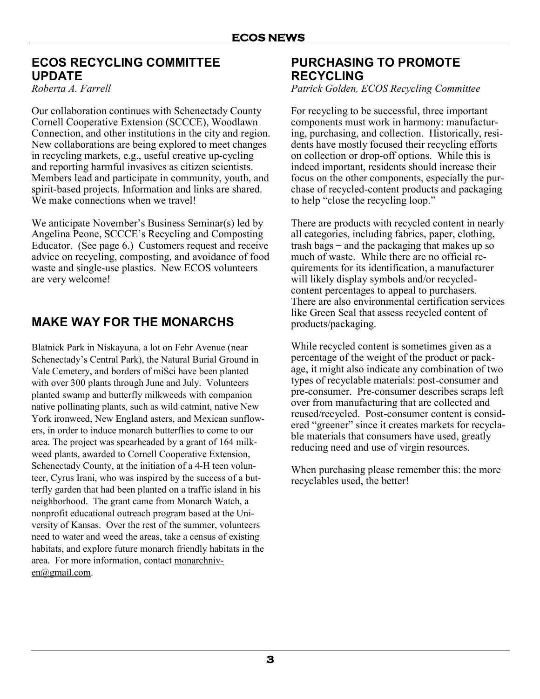### **ECOS RECYCLING COMMITTEE UPDATE**

*Roberta A. Farrell*

Our collaboration continues with Schenectady County Cornell Cooperative Extension (SCCCE), Woodlawn Connection, and other institutions in the city and region. New collaborations are being explored to meet changes in recycling markets, e.g., useful creative up-cycling and reporting harmful invasives as citizen scientists. Members lead and participate in community, youth, and spirit-based projects. Information and links are shared. We make connections when we travel!

We anticipate November's Business Seminar(s) led by Angelina Peone, SCCCE's Recycling and Composting Educator. (See page 6.) Customers request and receive advice on recycling, composting, and avoidance of food waste and single-use plastics. New ECOS volunteers are very welcome!

# **MAKE WAY FOR THE MONARCHS**

Blatnick Park in Niskayuna, a lot on Fehr Avenue (near Schenectady's Central Park), the Natural Burial Ground in Vale Cemetery, and borders of miSci have been planted with over 300 plants through June and July. Volunteers planted swamp and butterfly milkweeds with companion native pollinating plants, such as wild catmint, native New York ironweed, New England asters, and Mexican sunflowers, in order to induce monarch butterflies to come to our area. The project was spearheaded by a grant of 164 milkweed plants, awarded to Cornell Cooperative Extension, Schenectady County, at the initiation of a 4-H teen volunteer, Cyrus Irani, who was inspired by the success of a butterfly garden that had been planted on a traffic island in his neighborhood. The grant came from Monarch Watch, a nonprofit educational outreach program based at the University of Kansas. Over the rest of the summer, volunteers need to water and weed the areas, take a census of existing habitats, and explore future monarch friendly habitats in the area. For more information, contact [monarchniv](mailto:monarchniven@gmail.com)[en@gmail.com.](mailto:monarchniven@gmail.com)

## **PURCHASING TO PROMOTE RECYCLING**

*Patrick Golden, ECOS Recycling Committee*

For recycling to be successful, three important components must work in harmony: manufacturing, purchasing, and collection. Historically, residents have mostly focused their recycling efforts on collection or drop-off options. While this is indeed important, residents should increase their focus on the other components, especially the purchase of recycled-content products and packaging to help "close the recycling loop."

There are products with recycled content in nearly all categories, including fabrics, paper, clothing, trash bags ̶ and the packaging that makes up so much of waste. While there are no official requirements for its identification, a manufacturer will likely display symbols and/or recycledcontent percentages to appeal to purchasers. There are also environmental certification services like Green Seal that assess recycled content of products/packaging.

While recycled content is sometimes given as a percentage of the weight of the product or package, it might also indicate any combination of two types of recyclable materials: post-consumer and pre-consumer. Pre-consumer describes scraps left over from manufacturing that are collected and reused/recycled. Post-consumer content is considered "greener" since it creates markets for recyclable materials that consumers have used, greatly reducing need and use of virgin resources.

When purchasing please remember this: the more recyclables used, the better!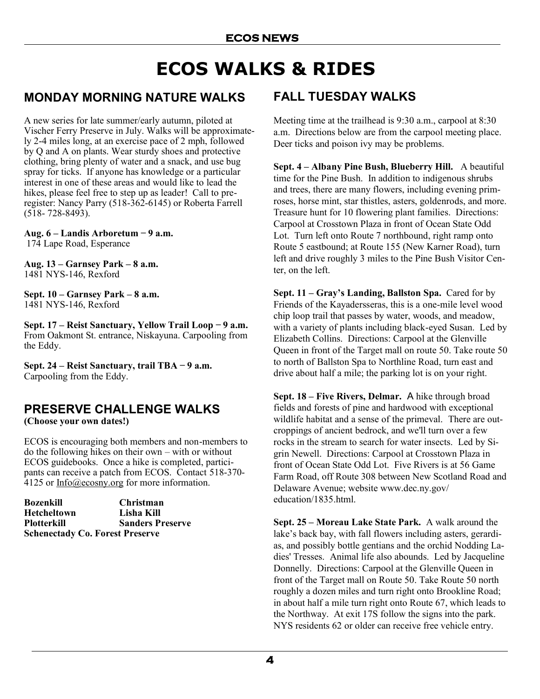# **ECOS WALKS & RIDES**

## **MONDAY MORNING NATURE WALKS**

A new series for late summer/early autumn, piloted at Vischer Ferry Preserve in July. Walks will be approximately 2-4 miles long, at an exercise pace of 2 mph, followed by Q and A on plants. Wear sturdy shoes and protective clothing, bring plenty of water and a snack, and use bug spray for ticks. If anyone has knowledge or a particular interest in one of these areas and would like to lead the hikes, please feel free to step up as leader! Call to preregister: Nancy Parry (518-362-6145) or Roberta Farrell (518- 728-8493).

**Aug. 6 – Landis Arboretum ̶ 9 a.m.** 174 Lape Road, Esperance

**Aug. 13 – Garnsey Park – 8 a.m.** 1481 NYS-146, Rexford

**Sept. 10 – Garnsey Park – 8 a.m.** 1481 NYS-146, Rexford

**Sept. 17 – Reist Sanctuary, Yellow Trail Loop ̶ 9 a.m.** From Oakmont St. entrance, Niskayuna. Carpooling from the Eddy.

**Sept. 24 – Reist Sanctuary, trail TBA ̶ 9 a.m.** Carpooling from the Eddy.

# **PRESERVE CHALLENGE WALKS**

**(Choose your own dates!)**

ECOS is encouraging both members and non-members to do the following hikes on their own – with or without ECOS guidebooks. Once a hike is completed, participants can receive a patch from ECOS. Contact 518-370- 4125 or [Info@ecosny.org](mailto:Info@ecosny.org) for more information.

| Bozenkill                              | <b>Christman</b>        |
|----------------------------------------|-------------------------|
| <b>Hetcheltown</b>                     | Lisha Kill              |
| Plotterkill                            | <b>Sanders Preserve</b> |
| <b>Schenectady Co. Forest Preserve</b> |                         |

## **FALL TUESDAY WALKS**

Meeting time at the trailhead is 9:30 a.m., carpool at 8:30 a.m. Directions below are from the carpool meeting place. Deer ticks and poison ivy may be problems.

**Sept. 4 – Albany Pine Bush, Blueberry Hill.** A beautiful time for the Pine Bush. In addition to indigenous shrubs and trees, there are many flowers, including evening primroses, horse mint, star thistles, asters, goldenrods, and more. Treasure hunt for 10 flowering plant families. Directions: Carpool at Crosstown Plaza in front of Ocean State Odd Lot. Turn left onto Route 7 northbound, right ramp onto Route 5 eastbound; at Route 155 (New Karner Road), turn left and drive roughly 3 miles to the Pine Bush Visitor Center, on the left.

**Sept. 11 – Gray's Landing, Ballston Spa.** Cared for by Friends of the Kayadersseras, this is a one-mile level wood chip loop trail that passes by water, woods, and meadow, with a variety of plants including black-eyed Susan. Led by Elizabeth Collins. Directions: Carpool at the Glenville Queen in front of the Target mall on route 50. Take route 50 to north of Ballston Spa to Northline Road, turn east and drive about half a mile; the parking lot is on your right.

**Sept. 18 – Five Rivers, Delmar.** A hike through broad fields and forests of pine and hardwood with exceptional wildlife habitat and a sense of the primeval. There are outcroppings of ancient bedrock, and we'll turn over a few rocks in the stream to search for water insects. Led by Sigrin Newell. Directions: Carpool at Crosstown Plaza in front of Ocean State Odd Lot. Five Rivers is at 56 Game Farm Road, off Route 308 between New Scotland Road and Delaware Avenue; website www.dec.ny.gov/ education/1835.html.

**Sept. 25 – Moreau Lake State Park.** A walk around the lake's back bay, with fall flowers including asters, gerardias, and possibly bottle gentians and the orchid Nodding Ladies' Tresses. Animal life also abounds. Led by Jacqueline Donnelly. Directions: Carpool at the Glenville Queen in front of the Target mall on Route 50. Take Route 50 north roughly a dozen miles and turn right onto Brookline Road; in about half a mile turn right onto Route 67, which leads to the Northway. At exit 17S follow the signs into the park. NYS residents 62 or older can receive free vehicle entry.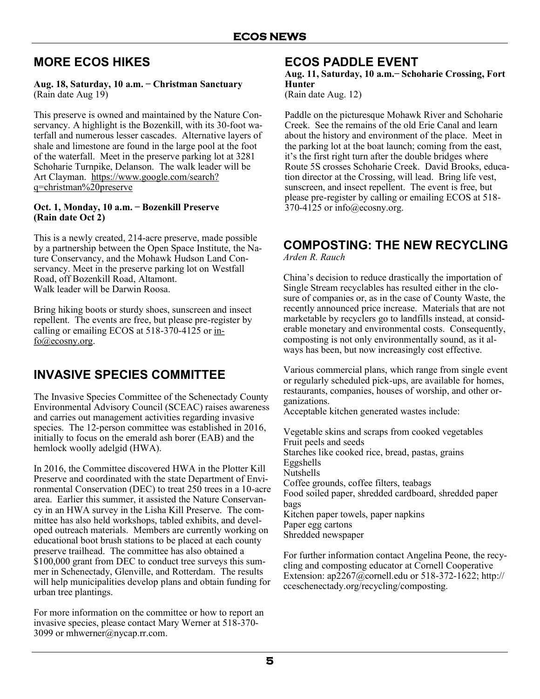# **MORE ECOS HIKES**

#### **Aug. 18, Saturday, 10 a.m. ̶ Christman Sanctuary** (Rain date Aug 19)

This preserve is owned and maintained by the Nature Conservancy. A highlight is the Bozenkill, with its 30-foot waterfall and numerous lesser cascades. Alternative layers of shale and limestone are found in the large pool at the foot of the waterfall. Meet in the preserve parking lot at 3281 Schoharie Turnpike, Delanson. The walk leader will be Art Clayman. [https://www.google.com/search?](https://www.google.com/search?q=christman%20preserve) [q=christman%20preserve](https://www.google.com/search?q=christman%20preserve)

#### **Oct. 1, Monday, 10 a.m. ̶ Bozenkill Preserve (Rain date Oct 2)**

This is a newly created, 214-acre preserve, made possible by a partnership between the Open Space Institute, the Nature Conservancy, and the Mohawk Hudson Land Conservancy. Meet in the preserve parking lot on Westfall Road, off Bozenkill Road, Altamont. Walk leader will be Darwin Roosa.

Bring hiking boots or sturdy shoes, sunscreen and insect repellent. The events are free, but please pre-register by calling or emailing ECOS at 518-370-4125 or [in](mailto:info@ecosny.org)[fo@ecosny.org.](mailto:info@ecosny.org)

# **INVASIVE SPECIES COMMITTEE**

The Invasive Species Committee of the Schenectady County Environmental Advisory Council (SCEAC) raises awareness and carries out management activities regarding invasive species. The 12-person committee was established in 2016, initially to focus on the emerald ash borer (EAB) and the hemlock woolly adelgid (HWA).

In 2016, the Committee discovered HWA in the Plotter Kill Preserve and coordinated with the state Department of Environmental Conservation (DEC) to treat 250 trees in a 10-acre area. Earlier this summer, it assisted the Nature Conservancy in an HWA survey in the Lisha Kill Preserve. The committee has also held workshops, tabled exhibits, and developed outreach materials. Members are currently working on educational boot brush stations to be placed at each county preserve trailhead. The committee has also obtained a \$100,000 grant from DEC to conduct tree surveys this summer in Schenectady, Glenville, and Rotterdam. The results will help municipalities develop plans and obtain funding for urban tree plantings.

For more information on the committee or how to report an invasive species, please contact Mary Werner at 518-370- 3099 or mhwerner@nycap.rr.com.

### **ECOS PADDLE EVENT**

#### Aug. 11, Saturday, 10 a.m. – Schoharie Crossing, Fort **Hunter**

(Rain date Aug. 12)

Paddle on the picturesque Mohawk River and Schoharie Creek. See the remains of the old Erie Canal and learn about the history and environment of the place. Meet in the parking lot at the boat launch; coming from the east, it's the first right turn after the double bridges where Route 5S crosses Schoharie Creek. David Brooks, education director at the Crossing, will lead. Bring life vest, sunscreen, and insect repellent. The event is free, but please pre-register by calling or emailing ECOS at 518- 370-4125 or info@ecosny.org.

## **COMPOSTING: THE NEW RECYCLING**

*Arden R. Rauch*

China's decision to reduce drastically the importation of Single Stream recyclables has resulted either in the closure of companies or, as in the case of County Waste, the recently announced price increase. Materials that are not marketable by recyclers go to landfills instead, at considerable monetary and environmental costs. Consequently, composting is not only environmentally sound, as it always has been, but now increasingly cost effective.

Various commercial plans, which range from single event or regularly scheduled pick-ups, are available for homes, restaurants, companies, houses of worship, and other organizations.

Acceptable kitchen generated wastes include:

Vegetable skins and scraps from cooked vegetables Fruit peels and seeds Starches like cooked rice, bread, pastas, grains Eggshells Nutshells Coffee grounds, coffee filters, teabags Food soiled paper, shredded cardboard, shredded paper bags Kitchen paper towels, paper napkins Paper egg cartons Shredded newspaper

For further information contact [Angelina Peone,](http://cceschenectady.org/staff/angelina-peone-1) the recycling and composting educator at Cornell Cooperative Extension: [ap2267@cornell.edu o](mailto:ap2267@cornell.edu)r 518-372-[1622;](file:///C:/Users/elfun%20pc/Desktop/LEXAR/518-372-1622) http:// [cceschenectady.org/recycling/composting.](http://cceschenectady.org/recycling/composting)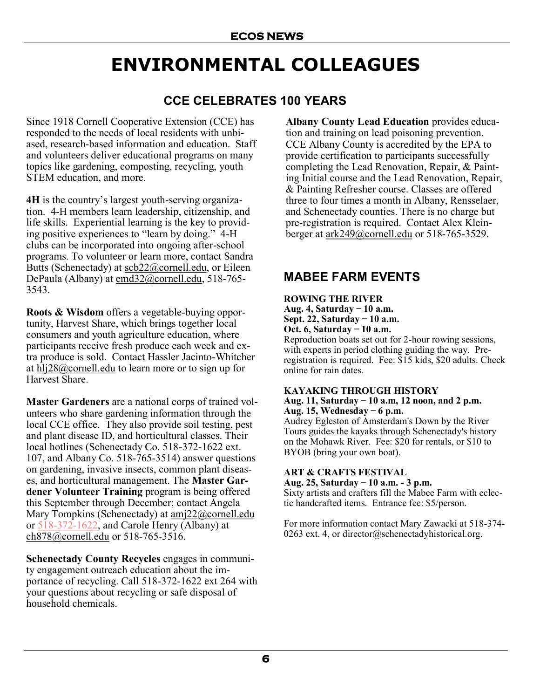# **ENVIRONMENTAL COLLEAGUES**

# **CCE CELEBRATES 100 YEARS**

Since 1918 Cornell Cooperative Extension (CCE) has responded to the needs of local residents with unbiased, research-based information and education. Staff and volunteers deliver educational programs on many topics like gardening, composting, recycling, youth STEM education, and more.

**4H** is the country's largest youth-serving organization. 4-H members learn leadership, citizenship, and life skills. Experiential learning is the key to providing positive experiences to "learn by doing." 4-H clubs can be incorporated into ongoing after-school programs. To volunteer or learn more, contact Sandra Butts (Schenectady) at  $scb22$  (*a*) cornell.edu, or Eileen DePaula (Albany) at [emd32@cornell.edu,](mailto:emd32@cornell.edu) 518-765- 3543.

**Roots & Wisdom** offers a vegetable-buying opportunity, Harvest Share, which brings together local consumers and youth agriculture education, where participants receive fresh produce each week and extra produce is sold. Contact Hassler Jacinto-Whitcher at  $h1/28@cornel.$ edu to learn more or to sign up for Harvest Share.

**Master Gardeners** are a national corps of trained volunteers who share gardening information through the local CCE office. They also provide soil testing, pest and plant disease ID, and horticultural classes. Their local hotlines (Schenectady Co. 518-372-1622 ext. 107, and Albany Co. 518-765-3514) answer questions on gardening, invasive insects, common plant diseases, and horticultural management. The **Master Gardener Volunteer Training** program is being offered this September through December; contact Angela Mary Tompkins (Schenectady) at [amj22@cornell.edu](mailto:amj22@cornell.edu) or 518-372-[1622,](mailto:518-372-1622) and Carole Henry (Albany) at [ch878@cornell.edu](mailto:ch878@cornell.edu) or 518-765-3516.

**Schenectady County Recycles** engages in community engagement outreach education about the importance of recycling. Call 518-372-1622 ext 264 with your questions about recycling or safe disposal of household chemicals.

**Albany County Lead Education** provides education and training on lead poisoning prevention. CCE Albany County is accredited by the EPA to provide certification to participants successfully completing the Lead Renovation, Repair, & Painting Initial course and the Lead Renovation, Repair, & Painting Refresher course. Classes are offered three to four times a month in Albany, Rensselaer, and Schenectady counties. There is no charge but pre-registration is required. Contact Alex Kleinberger at [ark249@cornell.edu](mailto:ark249@cornell.edu) or 518-765-3529.

## **MABEE FARM EVENTS**

#### **ROWING THE RIVER**

**Aug. 4, Saturday ̶ 10 a.m. Sept. 22, Saturday ̶ 10 a.m. Oct. 6, Saturday ̶ 10 a.m.**

Reproduction boats set out for 2-hour rowing sessions, with experts in period clothing guiding the way. Preregistration is required. Fee: \$15 kids, \$20 adults. Check online for rain dates.

#### **KAYAKING THROUGH HISTORY**

**Aug. 11, Saturday ̶ 10 a.m, 12 noon, and 2 p.m. Aug. 15, Wednesday ̶ 6 p.m.**

Audrey Egleston of Amsterdam's Down by the River Tours guides the kayaks through Schenectady's history on the Mohawk River. Fee: \$20 for rentals, or \$10 to BYOB (bring your own boat).

#### **ART & CRAFTS FESTIVAL**

**Aug. 25, Saturday ̶ 10 a.m. - 3 p.m.**

Sixty artists and crafters fill the Mabee Farm with eclectic handcrafted items. Entrance fee: \$5/person.

For more information contact Mary Zawacki at 518-374- 0263 ext. 4, or [director@schenectadyhistorical.org.](mailto:director@schenectadyhistorical.org)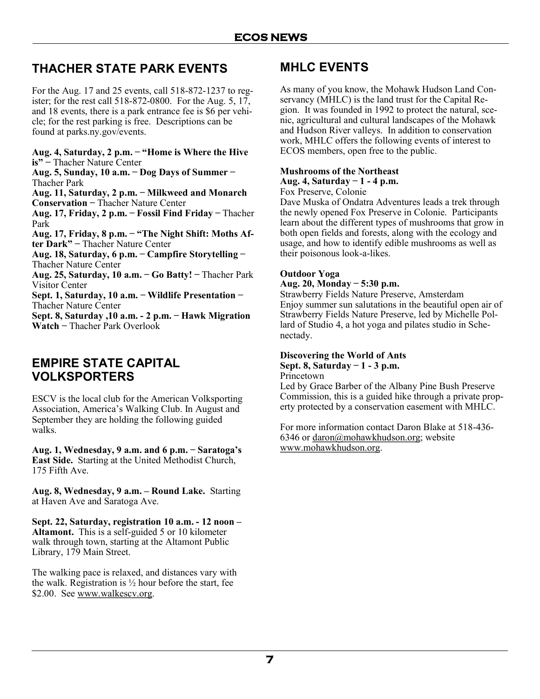## **THACHER STATE PARK EVENTS**

For the Aug. 17 and 25 events, call 518-872-1237 to register; for the rest call 518-872-0800. For the Aug. 5, 17, and 18 events, there is a park entrance fee is \$6 per vehicle; for the rest parking is free. Descriptions can be found at parks.ny.gov/events.

**Aug. 4, Saturday, 2 p.m. ̶ "Home is Where the Hive is"** ̶ Thacher Nature Center **Aug. 5, Sunday, 10 a.m. ̶ Dog Days of Summer ̶**  Thacher Park **Aug. 11, Saturday, 2 p.m. ̶ Milkweed and Monarch Conservation** ̶ Thacher Nature Center **Aug. 17, Friday, 2 p.m. ̶ Fossil Find Friday ̶** Thacher Park **Aug. 17, Friday, 8 p.m. ̶ "The Night Shift: Moths After Dark"** ̶ Thacher Nature Center **Aug. 18, Saturday, 6 p.m. ̶ Campfire Storytelling** ̶ Thacher Nature Center **Aug. 25, Saturday, 10 a.m. ̶ Go Batty! ̶** Thacher Park Visitor Center **Sept. 1, Saturday, 10 a.m. ̶ Wildlife Presentation** ̶ Thacher Nature Center **Sept. 8, Saturday ,10 a.m. - 2 p.m. ̶ Hawk Migration Watch** ̶ Thacher Park Overlook

### **EMPIRE STATE CAPITAL VOLKSPORTERS**

ESCV is the local club for the American Volksporting Association, America's Walking Club. In August and September they are holding the following guided walks.

**Aug. 1, Wednesday, 9 a.m. and 6 p.m. ̶ Saratoga's East Side.** Starting at the United Methodist Church, 175 Fifth Ave.

**Aug. 8, Wednesday, 9 a.m. – Round Lake.** Starting at Haven Ave and Saratoga Ave.

**Sept. 22, Saturday, registration 10 a.m. - 12 noon – Altamont.** This is a self-guided 5 or 10 kilometer walk through town, starting at the Altamont Public Library, 179 Main Street.

The walking pace is relaxed, and distances vary with the walk. Registration is  $\frac{1}{2}$  hour before the start, fee \$2.00. See [www.walkescv.org.](http://www.walkescv.org)

### **MHLC EVENTS**

As many of you know, the Mohawk Hudson Land Conservancy (MHLC) is the land trust for the Capital Region. It was founded in 1992 to protect the natural, scenic, agricultural and cultural landscapes of the Mohawk and Hudson River valleys. In addition to conservation work, MHLC offers the following events of interest to ECOS members, open free to the public.

#### **Mushrooms of the Northeast**

**Aug. 4, Saturday ̶ 1 - 4 p.m.**

Fox Preserve, Colonie

Dave Muska of Ondatra Adventures leads a trek through the newly opened Fox Preserve in Colonie. Participants learn about the different types of mushrooms that grow in both open fields and forests, along with the ecology and usage, and how to identify edible mushrooms as well as their poisonous look-a-likes.

#### **Outdoor Yoga**

#### **Aug. 20, Monday ̶ 5:30 p.m.**

Strawberry Fields Nature Preserve, Amsterdam Enjoy summer sun salutations in the beautiful open air of Strawberry Fields Nature Preserve, led by Michelle Pollard of Studio 4, a hot yoga and pilates studio in Schenectady.

#### **Discovering the World of Ants Sept. 8, Saturday ̶ 1 - 3 p.m.**

Princetown

Led by Grace Barber of the Albany Pine Bush Preserve Commission, this is a guided hike through a private property protected by a conservation easement with MHLC.

For more information contact Daron Blake at 518-436- 6346 or [daron@mohawkhudson.org;](mailto:daron@mohawkhudson.org) website [www.mohawkhudson.org.](http://www.mohawkhudson.org/)